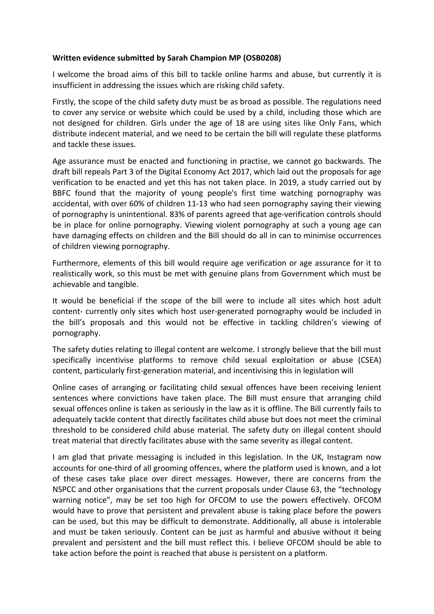## **Written evidence submitted by Sarah Champion MP (OSB0208)**

I welcome the broad aims of this bill to tackle online harms and abuse, but currently it is insufficient in addressing the issues which are risking child safety.

Firstly, the scope of the child safety duty must be as broad as possible. The regulations need to cover any service or website which could be used by a child, including those which are not designed for children. Girls under the age of 18 are using sites like Only Fans, which distribute indecent material, and we need to be certain the bill will regulate these platforms and tackle these issues.

Age assurance must be enacted and functioning in practise, we cannot go backwards. The draft bill repeals Part 3 of the Digital Economy Act 2017, which laid out the proposals for age verification to be enacted and yet this has not taken place. In 2019, a study carried out by BBFC found that the majority of young people's first time watching pornography was accidental, with over 60% of children 11-13 who had seen pornography saying their viewing of pornography is unintentional. 83% of parents agreed that age-verification controls should be in place for online pornography. Viewing violent pornography at such a young age can have damaging effects on children and the Bill should do all in can to minimise occurrences of children viewing pornography.

Furthermore, elements of this bill would require age verification or age assurance for it to realistically work, so this must be met with genuine plans from Government which must be achievable and tangible.

It would be beneficial if the scope of the bill were to include all sites which host adult content- currently only sites which host user-generated pornography would be included in the bill's proposals and this would not be effective in tackling children's viewing of pornography.

The safety duties relating to illegal content are welcome. I strongly believe that the bill must specifically incentivise platforms to remove child sexual exploitation or abuse (CSEA) content, particularly first-generation material, and incentivising this in legislation will

Online cases of arranging or facilitating child sexual offences have been receiving lenient sentences where convictions have taken place. The Bill must ensure that arranging child sexual offences online is taken as seriously in the law as it is offline. The Bill currently fails to adequately tackle content that directly facilitates child abuse but does not meet the criminal threshold to be considered child abuse material. The safety duty on illegal content should treat material that directly facilitates abuse with the same severity as illegal content.

I am glad that private messaging is included in this legislation. In the UK, Instagram now accounts for one-third of all grooming offences, where the platform used is known, and a lot of these cases take place over direct messages. However, there are concerns from the NSPCC and other organisations that the current proposals under Clause 63, the "technology warning notice", may be set too high for OFCOM to use the powers effectively. OFCOM would have to prove that persistent and prevalent abuse is taking place before the powers can be used, but this may be difficult to demonstrate. Additionally, all abuse is intolerable and must be taken seriously. Content can be just as harmful and abusive without it being prevalent and persistent and the bill must reflect this. I believe OFCOM should be able to take action before the point is reached that abuse is persistent on a platform.